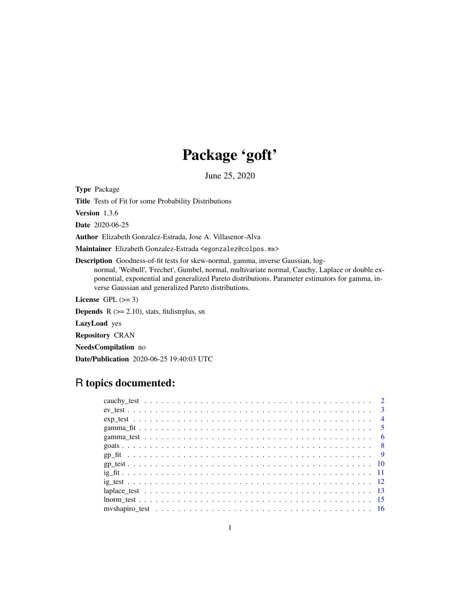# Package 'goft'

June 25, 2020

<span id="page-0-0"></span>Type Package

Title Tests of Fit for some Probability Distributions

Version 1.3.6

Date 2020-06-25

Author Elizabeth Gonzalez-Estrada, Jose A. Villasenor-Alva

Maintainer Elizabeth Gonzalez-Estrada <egonzalez@colpos.mx>

Description Goodness-of-fit tests for skew-normal, gamma, inverse Gaussian, lognormal, 'Weibull', 'Frechet', Gumbel, normal, multivariate normal, Cauchy, Laplace or double exponential, exponential and generalized Pareto distributions. Parameter estimators for gamma, inverse Gaussian and generalized Pareto distributions.

License GPL  $(>= 3)$ 

**Depends**  $R$  ( $>= 2.10$ ), stats, fitdistrplus, sn

LazyLoad yes

Repository CRAN

NeedsCompilation no

Date/Publication 2020-06-25 19:40:03 UTC

# R topics documented:

|  |  |  |  |  |  |  |  |  |  |  |  |  |  |  |  |  |  |  |  | $\overline{4}$ |
|--|--|--|--|--|--|--|--|--|--|--|--|--|--|--|--|--|--|--|--|----------------|
|  |  |  |  |  |  |  |  |  |  |  |  |  |  |  |  |  |  |  |  |                |
|  |  |  |  |  |  |  |  |  |  |  |  |  |  |  |  |  |  |  |  | - 6            |
|  |  |  |  |  |  |  |  |  |  |  |  |  |  |  |  |  |  |  |  |                |
|  |  |  |  |  |  |  |  |  |  |  |  |  |  |  |  |  |  |  |  |                |
|  |  |  |  |  |  |  |  |  |  |  |  |  |  |  |  |  |  |  |  |                |
|  |  |  |  |  |  |  |  |  |  |  |  |  |  |  |  |  |  |  |  |                |
|  |  |  |  |  |  |  |  |  |  |  |  |  |  |  |  |  |  |  |  |                |
|  |  |  |  |  |  |  |  |  |  |  |  |  |  |  |  |  |  |  |  |                |
|  |  |  |  |  |  |  |  |  |  |  |  |  |  |  |  |  |  |  |  |                |
|  |  |  |  |  |  |  |  |  |  |  |  |  |  |  |  |  |  |  |  |                |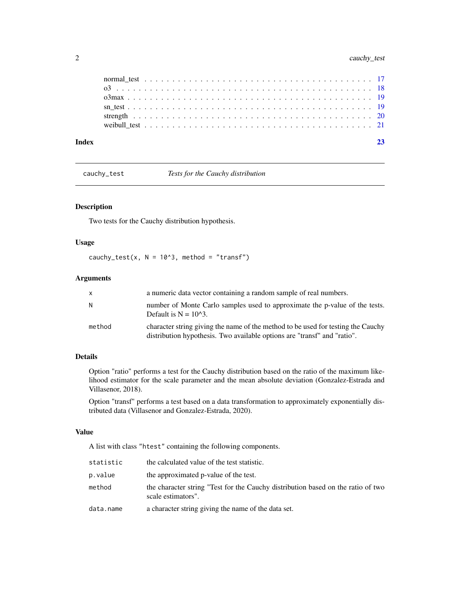<span id="page-1-0"></span>

| Index |  |
|-------|--|
|       |  |
|       |  |
|       |  |
|       |  |
|       |  |
|       |  |

cauchy\_test *Tests for the Cauchy distribution*

# Description

Two tests for the Cauchy distribution hypothesis.

# Usage

cauchy\_test(x,  $N = 10^3$ , method = "transf")

# Arguments

| X      | a numeric data vector containing a random sample of real numbers.                                                                                            |
|--------|--------------------------------------------------------------------------------------------------------------------------------------------------------------|
| N      | number of Monte Carlo samples used to approximate the p-value of the tests.<br>Default is $N = 10^{3}$ .                                                     |
| method | character string giving the name of the method to be used for testing the Cauchy<br>distribution hypothesis. Two available options are "transf" and "ratio". |

# Details

Option "ratio" performs a test for the Cauchy distribution based on the ratio of the maximum likelihood estimator for the scale parameter and the mean absolute deviation (Gonzalez-Estrada and Villasenor, 2018).

Option "transf" performs a test based on a data transformation to approximately exponentially distributed data (Villasenor and Gonzalez-Estrada, 2020).

# Value

A list with class "htest" containing the following components.

| statistic | the calculated value of the test statistic.                                                            |
|-----------|--------------------------------------------------------------------------------------------------------|
| p.value   | the approximated p-value of the test.                                                                  |
| method    | the character string "Test for the Cauchy distribution based on the ratio of two<br>scale estimators". |
| data.name | a character string giving the name of the data set.                                                    |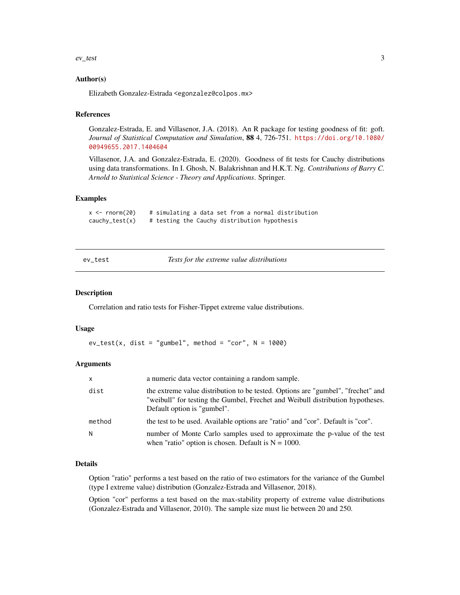#### <span id="page-2-0"></span> $e$ *v*\_test  $\frac{3}{2}$

# Author(s)

Elizabeth Gonzalez-Estrada <egonzalez@colpos.mx>

# References

Gonzalez-Estrada, E. and Villasenor, J.A. (2018). An R package for testing goodness of fit: goft. *Journal of Statistical Computation and Simulation*, 88 4, 726-751. [https://doi.org/10.1080/](https://doi.org/10.1080/00949655.2017.1404604) [00949655.2017.1404604](https://doi.org/10.1080/00949655.2017.1404604)

Villasenor, J.A. and Gonzalez-Estrada, E. (2020). Goodness of fit tests for Cauchy distributions using data transformations. In I. Ghosh, N. Balakrishnan and H.K.T. Ng. *Contributions of Barry C. Arnold to Statistical Science - Theory and Applications*. Springer.

# Examples

```
x \le rnorm(20) # simulating a data set from a normal distribution
cauchy_test(x) # testing the Cauchy distribution hypothesis
```
<span id="page-2-1"></span>ev\_test *Tests for the extreme value distributions*

# **Description**

Correlation and ratio tests for Fisher-Tippet extreme value distributions.

#### Usage

```
ev\_test(x, dist = "gumbel", method = "cor", N = 1000)
```
# Arguments

| $\times$ | a numeric data vector containing a random sample.                                                                                                                                                 |
|----------|---------------------------------------------------------------------------------------------------------------------------------------------------------------------------------------------------|
| dist     | the extreme value distribution to be tested. Options are "gumbel", "frechet" and<br>"weibull" for testing the Gumbel, Frechet and Weibull distribution hypotheses.<br>Default option is "gumbel". |
| method   | the test to be used. Available options are "ratio" and "cor". Default is "cor".                                                                                                                   |
| N        | number of Monte Carlo samples used to approximate the p-value of the test<br>when "ratio" option is chosen. Default is $N = 1000$ .                                                               |

#### Details

Option "ratio" performs a test based on the ratio of two estimators for the variance of the Gumbel (type I extreme value) distribution (Gonzalez-Estrada and Villasenor, 2018).

Option "cor" performs a test based on the max-stability property of extreme value distributions (Gonzalez-Estrada and Villasenor, 2010). The sample size must lie between 20 and 250.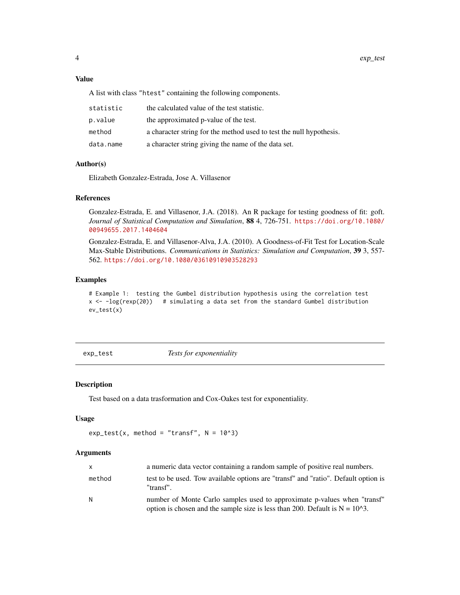# <span id="page-3-0"></span>Value

A list with class "htest" containing the following components.

| statistic | the calculated value of the test statistic.                         |
|-----------|---------------------------------------------------------------------|
| p.value   | the approximated p-value of the test.                               |
| method    | a character string for the method used to test the null hypothesis. |
| data.name | a character string giving the name of the data set.                 |

# Author(s)

Elizabeth Gonzalez-Estrada, Jose A. Villasenor

# References

Gonzalez-Estrada, E. and Villasenor, J.A. (2018). An R package for testing goodness of fit: goft. *Journal of Statistical Computation and Simulation*, 88 4, 726-751. [https://doi.org/10.1080/](https://doi.org/10.1080/00949655.2017.1404604) [00949655.2017.1404604](https://doi.org/10.1080/00949655.2017.1404604)

Gonzalez-Estrada, E. and Villasenor-Alva, J.A. (2010). A Goodness-of-Fit Test for Location-Scale Max-Stable Distributions. *Communications in Statistics: Simulation and Computation*, 39 3, 557- 562. <https://doi.org/10.1080/03610910903528293>

#### Examples

# Example 1: testing the Gumbel distribution hypothesis using the correlation test  $x \leftarrow -\log(\text{resp}(20))$  # simulating a data set from the standard Gumbel distribution ev\_test(x)

exp\_test *Tests for exponentiality*

# Description

Test based on a data trasformation and Cox-Oakes test for exponentiality.

#### Usage

```
exp\_test(x, method = "transfer", N = 10^3)
```
#### Arguments

| $\mathsf{x}$ | a numeric data vector containing a random sample of positive real numbers.                                                                                 |
|--------------|------------------------------------------------------------------------------------------------------------------------------------------------------------|
| method       | test to be used. Tow available options are "transf" and "ratio". Default option is<br>"transf".                                                            |
| N            | number of Monte Carlo samples used to approximate p-values when "transf"<br>option is chosen and the sample size is less than 200. Default is $N = 1023$ . |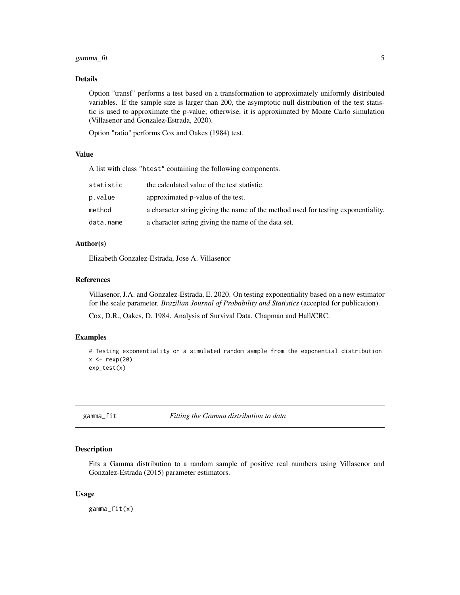#### <span id="page-4-0"></span>gamma\_fit  $\sim$  5

# Details

Option "transf" performs a test based on a transformation to approximately uniformly distributed variables. If the sample size is larger than 200, the asymptotic null distribution of the test statistic is used to approximate the p-value; otherwise, it is approximated by Monte Carlo simulation (Villasenor and Gonzalez-Estrada, 2020).

Option "ratio" performs Cox and Oakes (1984) test.

# Value

A list with class "htest" containing the following components.

| statistic | the calculated value of the test statistic.                                       |
|-----------|-----------------------------------------------------------------------------------|
| p.value   | approximated p-value of the test.                                                 |
| method    | a character string giving the name of the method used for testing exponentiality. |
| data.name | a character string giving the name of the data set.                               |

# Author(s)

Elizabeth Gonzalez-Estrada, Jose A. Villasenor

#### References

Villasenor, J.A. and Gonzalez-Estrada, E. 2020. On testing exponentiality based on a new estimator for the scale parameter. *Brazilian Journal of Probability and Statistics* (accepted for publication).

Cox, D.R., Oakes, D. 1984. Analysis of Survival Data. Chapman and Hall/CRC.

# Examples

```
# Testing exponentiality on a simulated random sample from the exponential distribution
x < - rexp(20)
exp_test(x)
```
<span id="page-4-1"></span>gamma\_fit *Fitting the Gamma distribution to data*

#### Description

Fits a Gamma distribution to a random sample of positive real numbers using Villasenor and Gonzalez-Estrada (2015) parameter estimators.

#### Usage

gamma\_fit(x)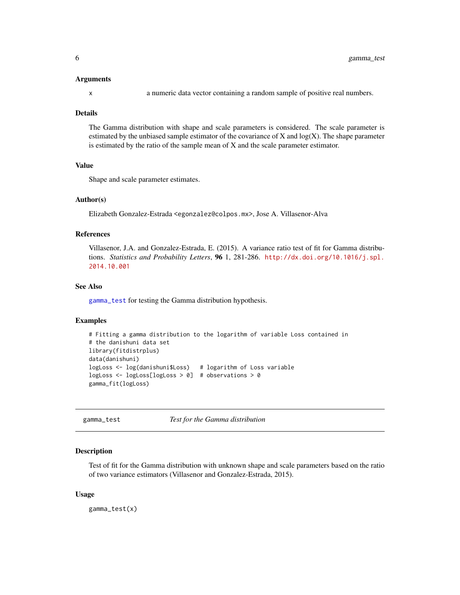#### <span id="page-5-0"></span>Arguments

x a numeric data vector containing a random sample of positive real numbers.

#### Details

The Gamma distribution with shape and scale parameters is considered. The scale parameter is estimated by the unbiased sample estimator of the covariance of  $X$  and  $log(X)$ . The shape parameter is estimated by the ratio of the sample mean of X and the scale parameter estimator.

# Value

Shape and scale parameter estimates.

#### Author(s)

Elizabeth Gonzalez-Estrada <egonzalez@colpos.mx>, Jose A. Villasenor-Alva

# References

Villasenor, J.A. and Gonzalez-Estrada, E. (2015). A variance ratio test of fit for Gamma distributions. *Statistics and Probability Letters*, 96 1, 281-286. [http://dx.doi.org/10.1016/j.spl.](http://dx.doi.org/10.1016/j.spl.2014.10.001) [2014.10.001](http://dx.doi.org/10.1016/j.spl.2014.10.001)

#### See Also

[gamma\\_test](#page-5-1) for testing the Gamma distribution hypothesis.

# Examples

```
# Fitting a gamma distribution to the logarithm of variable Loss contained in
# the danishuni data set
library(fitdistrplus)
data(danishuni)
logLoss <- log(danishuni$Loss) # logarithm of Loss variable
logLoss <- logLoss[logLoss > 0] # observations > 0
gamma_fit(logLoss)
```
<span id="page-5-1"></span>gamma\_test *Test for the Gamma distribution*

#### **Description**

Test of fit for the Gamma distribution with unknown shape and scale parameters based on the ratio of two variance estimators (Villasenor and Gonzalez-Estrada, 2015).

#### Usage

gamma\_test(x)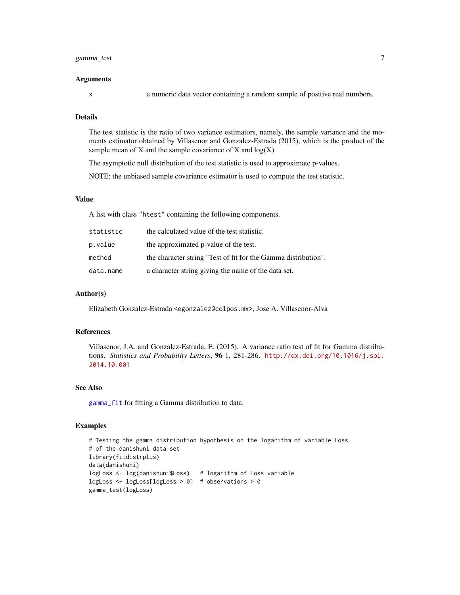# <span id="page-6-0"></span>gamma\_test 7

#### Arguments

x a numeric data vector containing a random sample of positive real numbers.

# Details

The test statistic is the ratio of two variance estimators, namely, the sample variance and the moments estimator obtained by Villasenor and Gonzalez-Estrada (2015), which is the product of the sample mean of  $X$  and the sample covariance of  $X$  and  $log(X)$ .

The asymptotic null distribution of the test statistic is used to approximate p-values.

NOTE: the unbiased sample covariance estimator is used to compute the test statistic.

# Value

A list with class "htest" containing the following components.

| statistic | the calculated value of the test statistic.                    |
|-----------|----------------------------------------------------------------|
| p.value   | the approximated p-value of the test.                          |
| method    | the character string "Test of fit for the Gamma distribution". |
| data.name | a character string giving the name of the data set.            |

#### Author(s)

Elizabeth Gonzalez-Estrada <egonzalez@colpos.mx>, Jose A. Villasenor-Alva

# References

Villasenor, J.A. and Gonzalez-Estrada, E. (2015). A variance ratio test of fit for Gamma distributions. *Statistics and Probability Letters*, 96 1, 281-286. [http://dx.doi.org/10.1016/j.spl.](http://dx.doi.org/10.1016/j.spl.2014.10.001) [2014.10.001](http://dx.doi.org/10.1016/j.spl.2014.10.001)

#### See Also

[gamma\\_fit](#page-4-1) for fitting a Gamma distribution to data.

#### Examples

```
# Testing the gamma distribution hypothesis on the logarithm of variable Loss
# of the danishuni data set
library(fitdistrplus)
data(danishuni)
logLoss <- log(danishuni$Loss) # logarithm of Loss variable
logLoss <- logLoss[logLoss > 0] # observations > 0
gamma_test(logLoss)
```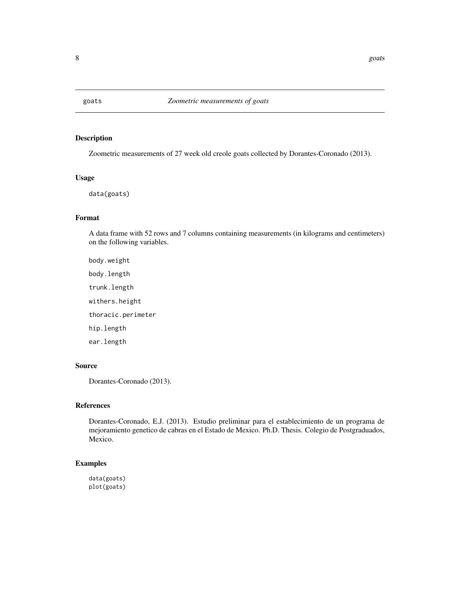<span id="page-7-0"></span>

# Description

Zoometric measurements of 27 week old creole goats collected by Dorantes-Coronado (2013).

# Usage

data(goats)

#### Format

A data frame with 52 rows and 7 columns containing measurements (in kilograms and centimeters) on the following variables.

body.weight body.length trunk.length withers.height thoracic.perimeter hip.length ear.length

# Source

Dorantes-Coronado (2013).

# References

Dorantes-Coronado, E.J. (2013). Estudio preliminar para el establecimiento de un programa de mejoramiento genetico de cabras en el Estado de Mexico. Ph.D. Thesis. Colegio de Postgraduados, Mexico.

# Examples

data(goats) plot(goats)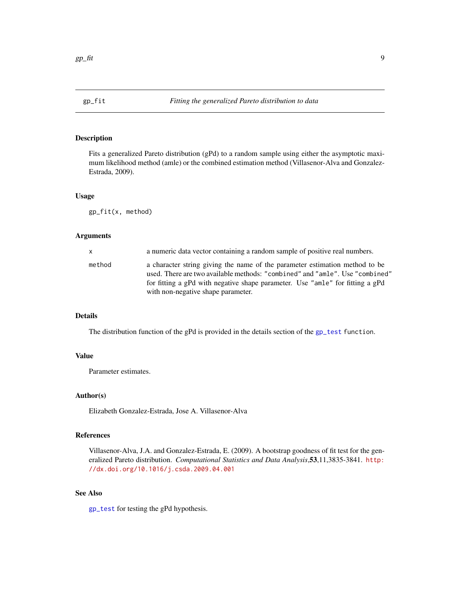# <span id="page-8-1"></span><span id="page-8-0"></span>Description

Fits a generalized Pareto distribution (gPd) to a random sample using either the asymptotic maximum likelihood method (amle) or the combined estimation method (Villasenor-Alva and Gonzalez-Estrada, 2009).

#### Usage

gp\_fit(x, method)

# Arguments

| X      | a numeric data vector containing a random sample of positive real numbers.                                                                                                                                                                                                         |
|--------|------------------------------------------------------------------------------------------------------------------------------------------------------------------------------------------------------------------------------------------------------------------------------------|
| method | a character string giving the name of the parameter estimation method to be<br>used. There are two available methods: "combined" and "amle". Use "combined"<br>for fitting a gPd with negative shape parameter. Use "amle" for fitting a gPd<br>with non-negative shape parameter. |

# Details

The distribution function of the gPd is provided in the details section of the [gp\\_test](#page-9-1) function.

# Value

Parameter estimates.

#### Author(s)

Elizabeth Gonzalez-Estrada, Jose A. Villasenor-Alva

# References

Villasenor-Alva, J.A. and Gonzalez-Estrada, E. (2009). A bootstrap goodness of fit test for the generalized Pareto distribution. *Computational Statistics and Data Analysis*,53,11,3835-3841. [http:](http://dx.doi.org/10.1016/j.csda.2009.04.001) [//dx.doi.org/10.1016/j.csda.2009.04.001](http://dx.doi.org/10.1016/j.csda.2009.04.001)

#### See Also

[gp\\_test](#page-9-1) for testing the gPd hypothesis.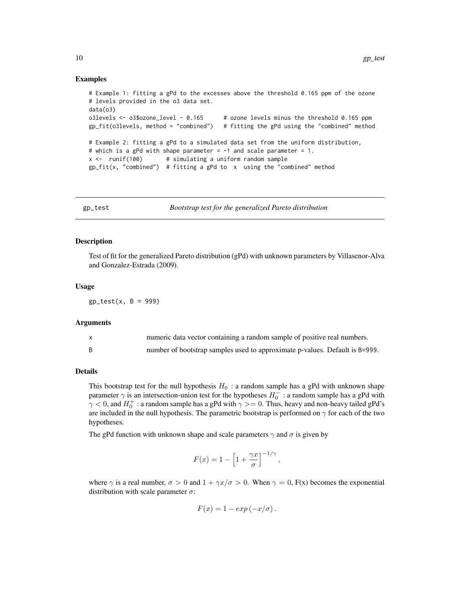#### Examples

```
# Example 1: fitting a gPd to the excesses above the threshold 0.165 ppm of the ozone
# levels provided in the o3 data set.
data(o3)
o3levels <- o3$ozone_level - 0.165 # ozone levels minus the threshold 0.165 ppm
gp_fit(o3levels, method = "combined") # fitting the gPd using the "combined" method
# Example 2: fitting a gPd to a simulated data set from the uniform distribution,
# which is a gPd with shape parameter = -1 and scale parameter = 1.
x \le - runif(100) # simulating a uniform random sample
gp_fit(x, "combined") # fitting a gPd to x using the "combined" method
```
<span id="page-9-1"></span>

gp\_test *Bootstrap test for the generalized Pareto distribution*

#### Description

Test of fit for the generalized Pareto distribution (gPd) with unknown parameters by Villasenor-Alva and Gonzalez-Estrada (2009).

#### Usage

 $gp\_test(x, B = 999)$ 

# Arguments

| numeric data vector containing a random sample of positive real numbers.    |
|-----------------------------------------------------------------------------|
| number of bootstrap samples used to approximate p-values. Default is B=999. |

# Details

This bootstrap test for the null hypothesis  $H_0$ : a random sample has a gPd with unknown shape parameter  $\gamma$  is an intersection-union test for the hypotheses  $H_0^-$ : a random sample has a gPd with  $\gamma$  < 0, and  $H_0^+$  : a random sample has a gPd with  $\gamma$  >= 0. Thus, heavy and non-heavy tailed gPd's are included in the null hypothesis. The parametric bootstrap is performed on  $\gamma$  for each of the two hypotheses.

The gPd function with unknown shape and scale parameters  $\gamma$  and  $\sigma$  is given by

$$
F(x) = 1 - \left[1 + \frac{\gamma x}{\sigma}\right]^{-1/\gamma},
$$

where  $\gamma$  is a real number,  $\sigma > 0$  and  $1 + \gamma x/\sigma > 0$ . When  $\gamma = 0$ , F(x) becomes the exponential distribution with scale parameter  $\sigma$ :

$$
F(x) = 1 - exp(-x/\sigma).
$$

<span id="page-9-0"></span>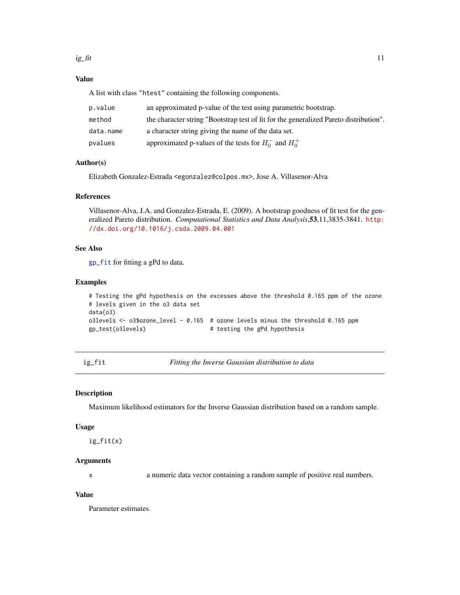# <span id="page-10-0"></span>Value

A list with class "htest" containing the following components.

| p.value   | an approximated p-value of the test using parametric bootstrap.                       |
|-----------|---------------------------------------------------------------------------------------|
| method    | the character string "Bootstrap test of fit for the generalized Pareto distribution". |
| data.name | a character string giving the name of the data set.                                   |
| pvalues   | approximated p-values of the tests for $H_0^-$ and $H_0^+$                            |

# Author(s)

Elizabeth Gonzalez-Estrada <egonzalez@colpos.mx>, Jose A. Villasenor-Alva

# References

Villasenor-Alva, J.A. and Gonzalez-Estrada, E. (2009). A bootstrap goodness of fit test for the generalized Pareto distribution. *Computational Statistics and Data Analysis*,53,11,3835-3841. [http:](http://dx.doi.org/10.1016/j.csda.2009.04.001) [//dx.doi.org/10.1016/j.csda.2009.04.001](http://dx.doi.org/10.1016/j.csda.2009.04.001)

# See Also

[gp\\_fit](#page-8-1) for fitting a gPd to data.

# Examples

```
# Testing the gPd hypothesis on the excesses above the threshold 0.165 ppm of the ozone
# levels given in the o3 data set
data(o3)
o3levels <- o3$ozone_level - 0.165 # ozone levels minus the threshold 0.165 ppm
gp_test(o3levels) # testing the gPd hypothesis
```
ig\_fit *Fitting the Inverse Gaussian distribution to data*

# Description

Maximum likelihood estimators for the Inverse Gaussian distribution based on a random sample.

# Usage

ig\_fit(x)

#### Arguments

x a numeric data vector containing a random sample of positive real numbers.

# Value

Parameter estimates.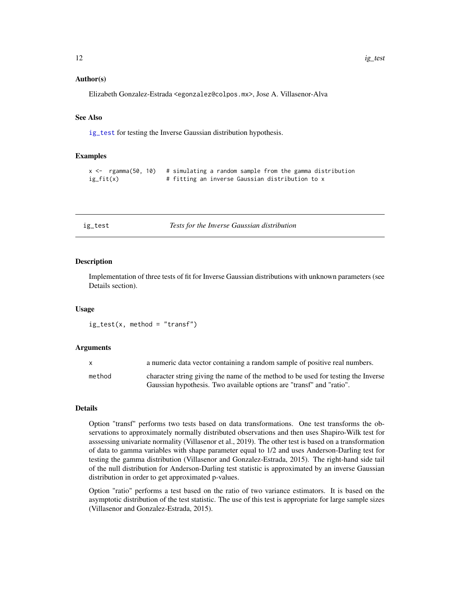#### <span id="page-11-0"></span>Author(s)

Elizabeth Gonzalez-Estrada <egonzalez@colpos.mx>, Jose A. Villasenor-Alva

# See Also

[ig\\_test](#page-11-1) for testing the Inverse Gaussian distribution hypothesis.

#### Examples

```
x \leq - rgamma(50, 10) # simulating a random sample from the gamma distribution
ig_fit(x) # fitting an inverse Gaussian distribution to x
```
<span id="page-11-1"></span>

#### ig\_test *Tests for the Inverse Gaussian distribution*

#### **Description**

Implementation of three tests of fit for Inverse Gaussian distributions with unknown parameters (see Details section).

#### Usage

 $ig_test(x, method = "transfer")$ 

#### Arguments

|        | a numeric data vector containing a random sample of positive real numbers.        |
|--------|-----------------------------------------------------------------------------------|
| method | character string giving the name of the method to be used for testing the Inverse |
|        | Gaussian hypothesis. Two available options are "transf" and "ratio".              |

#### Details

Option "transf" performs two tests based on data transformations. One test transforms the observations to approximately normally distributed observations and then uses Shapiro-Wilk test for asssessing univariate normality (Villasenor et al., 2019). The other test is based on a transformation of data to gamma variables with shape parameter equal to 1/2 and uses Anderson-Darling test for testing the gamma distribution (Villasenor and Gonzalez-Estrada, 2015). The right-hand side tail of the null distribution for Anderson-Darling test statistic is approximated by an inverse Gaussian distribution in order to get approximated p-values.

Option "ratio" performs a test based on the ratio of two variance estimators. It is based on the asymptotic distribution of the test statistic. The use of this test is appropriate for large sample sizes (Villasenor and Gonzalez-Estrada, 2015).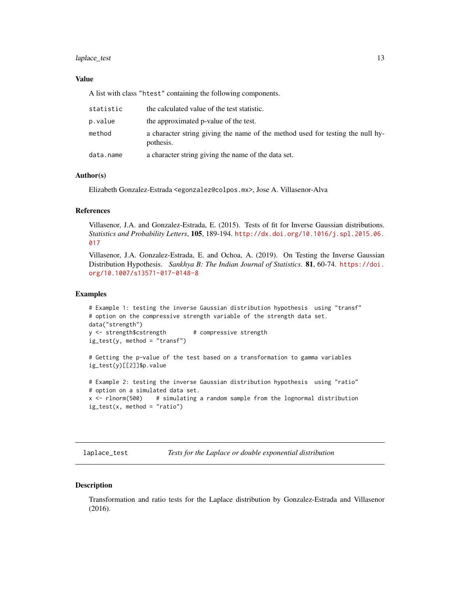# <span id="page-12-0"></span>laplace\_test 13

# Value

A list with class "htest" containing the following components.

| statistic | the calculated value of the test statistic.                                                 |
|-----------|---------------------------------------------------------------------------------------------|
| p.value   | the approximated p-value of the test.                                                       |
| method    | a character string giving the name of the method used for testing the null hy-<br>pothesis. |
| data.name | a character string giving the name of the data set.                                         |

#### Author(s)

Elizabeth Gonzalez-Estrada <egonzalez@colpos.mx>, Jose A. Villasenor-Alva

# References

Villasenor, J.A. and Gonzalez-Estrada, E. (2015). Tests of fit for Inverse Gaussian distributions. *Statistics and Probability Letters*, 105, 189-194. [http://dx.doi.org/10.1016/j.spl.2015.06.](http://dx.doi.org/10.1016/j.spl.2015.06.017) [017](http://dx.doi.org/10.1016/j.spl.2015.06.017)

Villasenor, J.A. Gonzalez-Estrada, E. and Ochoa, A. (2019). On Testing the Inverse Gaussian Distribution Hypothesis. *Sankhya B: The Indian Journal of Statistics*. 81, 60-74. [https://doi.](https://doi.org/10.1007/s13571-017-0148-8) [org/10.1007/s13571-017-0148-8](https://doi.org/10.1007/s13571-017-0148-8)

# Examples

```
# Example 1: testing the inverse Gaussian distribution hypothesis using "transf"
# option on the compressive strength variable of the strength data set.
data("strength")
y <- strength$cstrength # compressive strength
ig_test(y, method = "transfer")
```
# Getting the p-value of the test based on a transformation to gamma variables ig\_test(y)[[2]]\$p.value

```
# Example 2: testing the inverse Gaussian distribution hypothesis using "ratio"
# option on a simulated data set.
x \le rlnorm(500) # simulating a random sample from the lognormal distribution
ig_test(x, method = "ratio")
```
laplace\_test *Tests for the Laplace or double exponential distribution*

# Description

Transformation and ratio tests for the Laplace distribution by Gonzalez-Estrada and Villasenor (2016).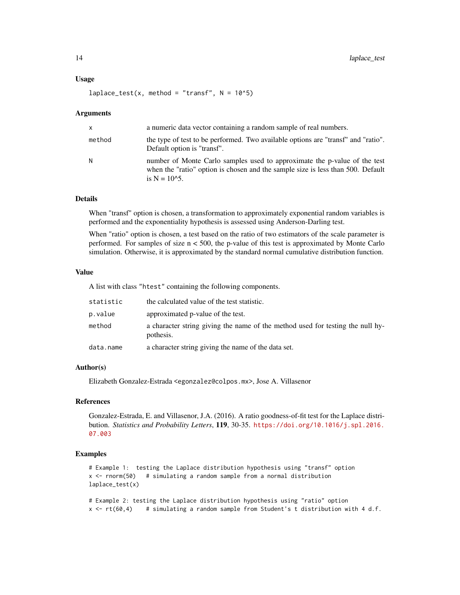#### Usage

 $laplace_test(x, method = "transfer", N = 10^5)$ 

#### Arguments

| $\mathsf{x}$ | a numeric data vector containing a random sample of real numbers.                                                                                                                 |
|--------------|-----------------------------------------------------------------------------------------------------------------------------------------------------------------------------------|
| method       | the type of test to be performed. Two available options are "transf" and "ratio".<br>Default option is "transf".                                                                  |
| N            | number of Monte Carlo samples used to approximate the p-value of the test<br>when the "ratio" option is chosen and the sample size is less than 500. Default<br>is $N = 10^{6}$ . |

# Details

When "transf" option is chosen, a transformation to approximately exponential random variables is performed and the exponentiality hypothesis is assessed using Anderson-Darling test.

When "ratio" option is chosen, a test based on the ratio of two estimators of the scale parameter is performed. For samples of size  $n < 500$ , the p-value of this test is approximated by Monte Carlo simulation. Otherwise, it is approximated by the standard normal cumulative distribution function.

# Value

A list with class "htest" containing the following components.

| statistic | the calculated value of the test statistic.                                                 |
|-----------|---------------------------------------------------------------------------------------------|
| p.value   | approximated p-value of the test.                                                           |
| method    | a character string giving the name of the method used for testing the null hy-<br>pothesis. |
| data.name | a character string giving the name of the data set.                                         |

# Author(s)

Elizabeth Gonzalez-Estrada <egonzalez@colpos.mx>, Jose A. Villasenor

# References

Gonzalez-Estrada, E. and Villasenor, J.A. (2016). A ratio goodness-of-fit test for the Laplace distribution. *Statistics and Probability Letters*, 119, 30-35. [https://doi.org/10.1016/j.spl.2016.](https://doi.org/10.1016/j.spl.2016.07.003) [07.003](https://doi.org/10.1016/j.spl.2016.07.003)

#### Examples

```
# Example 1: testing the Laplace distribution hypothesis using "transf" option
x <- rnorm(50) # simulating a random sample from a normal distribution
laplace_test(x)
```

```
# Example 2: testing the Laplace distribution hypothesis using "ratio" option
x < -rt(60, 4) # simulating a random sample from Student's t distribution with 4 d.f.
```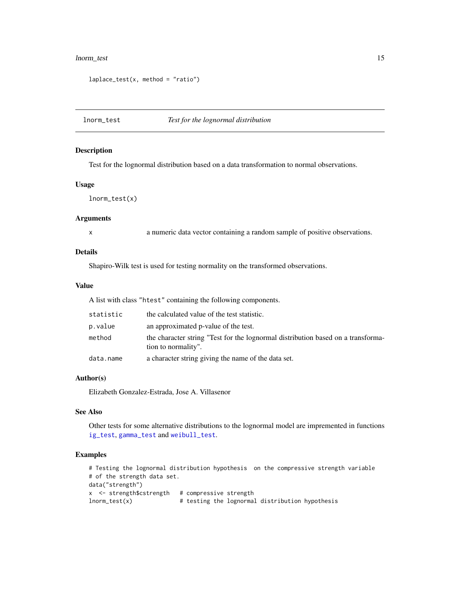# <span id="page-14-0"></span>lnorm\_test 15

```
laplace_test(x, method = "ratio")
```
# <span id="page-14-1"></span>lnorm\_test *Test for the lognormal distribution*

# Description

Test for the lognormal distribution based on a data transformation to normal observations.

# Usage

lnorm\_test(x)

# Arguments

x a numeric data vector containing a random sample of positive observations.

# Details

Shapiro-Wilk test is used for testing normality on the transformed observations.

# Value

A list with class "htest" containing the following components.

| statistic | the calculated value of the test statistic.                                                             |
|-----------|---------------------------------------------------------------------------------------------------------|
| p.value   | an approximated p-value of the test.                                                                    |
| method    | the character string "Test for the lognormal distribution based on a transforma-<br>tion to normality". |
| data.name | a character string giving the name of the data set.                                                     |

# Author(s)

Elizabeth Gonzalez-Estrada, Jose A. Villasenor

# See Also

Other tests for some alternative distributions to the lognormal model are impremented in functions [ig\\_test](#page-11-1), [gamma\\_test](#page-5-1) and [weibull\\_test](#page-20-1).

# Examples

```
# Testing the lognormal distribution hypothesis on the compressive strength variable
# of the strength data set.
data("strength")
x <- strength$cstrength # compressive strength
lnorm_test(x) # testing the lognormal distribution hypothesis
```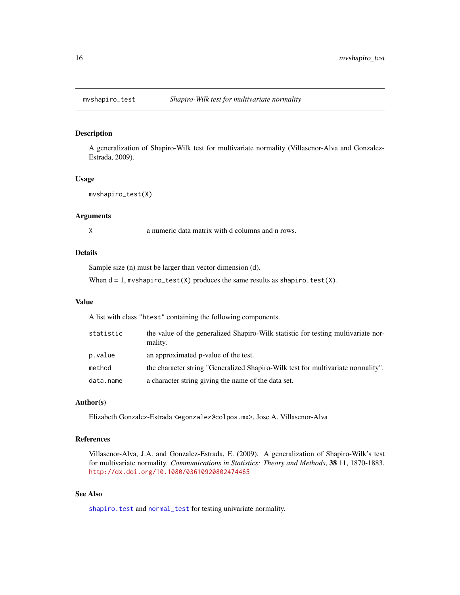<span id="page-15-0"></span>

# Description

A generalization of Shapiro-Wilk test for multivariate normality (Villasenor-Alva and Gonzalez-Estrada, 2009).

#### Usage

mvshapiro\_test(X)

#### Arguments

X a numeric data matrix with d columns and n rows.

# Details

Sample size (n) must be larger than vector dimension (d).

When  $d = 1$ , mvshapiro\_test(X) produces the same results as shapiro.test(X).

# Value

A list with class "htest" containing the following components.

| statistic | the value of the generalized Shapiro-Wilk statistic for testing multivariate nor-<br>mality. |
|-----------|----------------------------------------------------------------------------------------------|
| p.value   | an approximated p-value of the test.                                                         |
| method    | the character string "Generalized Shapiro-Wilk test for multivariate normality".             |
| data.name | a character string giving the name of the data set.                                          |

# Author(s)

Elizabeth Gonzalez-Estrada <egonzalez@colpos.mx>, Jose A. Villasenor-Alva

# References

Villasenor-Alva, J.A. and Gonzalez-Estrada, E. (2009). A generalization of Shapiro-Wilk's test for multivariate normality. *Communications in Statistics: Theory and Methods*, 38 11, 1870-1883. <http://dx.doi.org/10.1080/03610920802474465>

# See Also

[shapiro.test](#page-0-0) and [normal\\_test](#page-16-1) for testing univariate normality.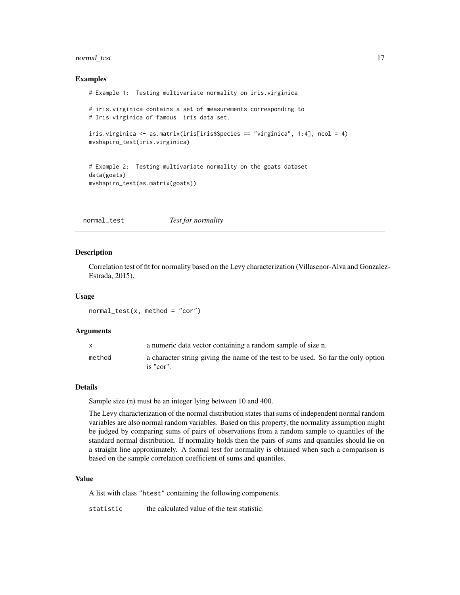# <span id="page-16-0"></span>normal\_test 17

#### Examples

```
# Example 1: Testing multivariate normality on iris.virginica
# iris.virginica contains a set of measurements corresponding to
# Iris virginica of famous iris data set.
iris.virginica <- as.matrix(iris[iris$Species == "virginica", 1:4], ncol = 4)
mvshapiro_test(iris.virginica)
# Example 2: Testing multivariate normality on the goats dataset
data(goats)
mvshapiro_test(as.matrix(goats))
```
<span id="page-16-1"></span>normal\_test *Test for normality*

#### Description

Correlation test of fit for normality based on the Levy characterization (Villasenor-Alva and Gonzalez-Estrada, 2015).

#### Usage

 $normal\_test(x, method = "cor")$ 

#### Arguments

|        | a numeric data vector containing a random sample of size n.                                    |
|--------|------------------------------------------------------------------------------------------------|
| method | a character string giving the name of the test to be used. So far the only option<br>is "cor". |

#### Details

Sample size (n) must be an integer lying between 10 and 400.

The Levy characterization of the normal distribution states that sums of independent normal random variables are also normal random variables. Based on this property, the normality assumption might be judged by comparing sums of pairs of observations from a random sample to quantiles of the standard normal distribution. If normality holds then the pairs of sums and quantiles should lie on a straight line approximately. A formal test for normality is obtained when such a comparison is based on the sample correlation coefficient of sums and quantiles.

# Value

A list with class "htest" containing the following components.

statistic the calculated value of the test statistic.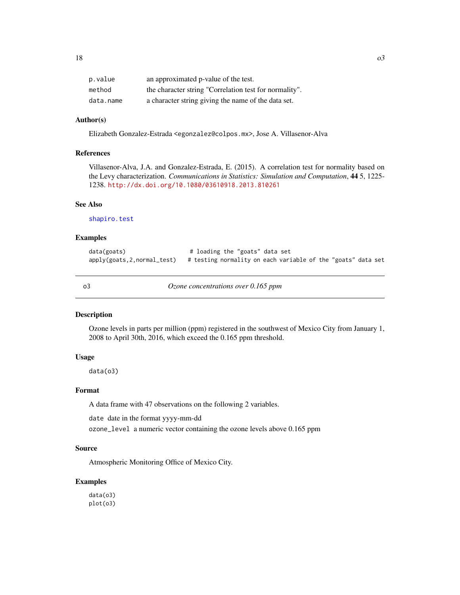<span id="page-17-0"></span>

| p.value   | an approximated p-value of the test.                   |
|-----------|--------------------------------------------------------|
| method    | the character string "Correlation test for normality". |
| data.name | a character string giving the name of the data set.    |

# Author(s)

Elizabeth Gonzalez-Estrada <egonzalez@colpos.mx>, Jose A. Villasenor-Alva

# References

Villasenor-Alva, J.A. and Gonzalez-Estrada, E. (2015). A correlation test for normality based on the Levy characterization. *Communications in Statistics: Simulation and Computation*, 44 5, 1225- 1238. <http://dx.doi.org/10.1080/03610918.2013.810261>

#### See Also

[shapiro.test](#page-0-0)

## Examples

| data(goats) | # loading the "goats" data set                                                              |
|-------------|---------------------------------------------------------------------------------------------|
|             | $apply(gouts, 2, normal_test)$ # testing normality on each variable of the "goats" data set |

o3 *Ozone concentrations over 0.165 ppm*

#### Description

Ozone levels in parts per million (ppm) registered in the southwest of Mexico City from January 1, 2008 to April 30th, 2016, which exceed the 0.165 ppm threshold.

# Usage

data(o3)

#### Format

A data frame with 47 observations on the following 2 variables.

date date in the format yyyy-mm-dd

ozone\_level a numeric vector containing the ozone levels above 0.165 ppm

#### Source

Atmospheric Monitoring Office of Mexico City.

# Examples

data(o3) plot(o3)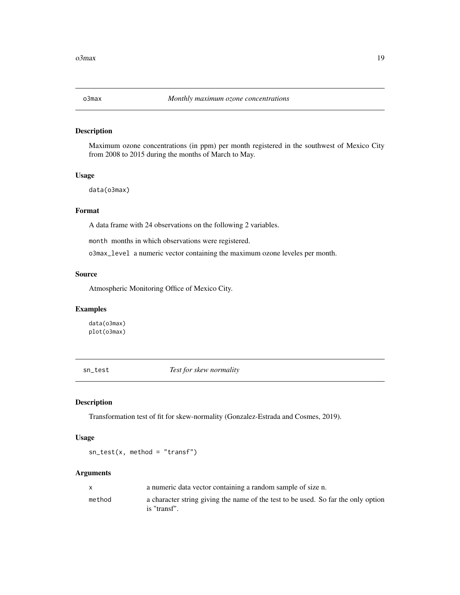<span id="page-18-0"></span>

# Description

Maximum ozone concentrations (in ppm) per month registered in the southwest of Mexico City from 2008 to 2015 during the months of March to May.

#### Usage

data(o3max)

# Format

A data frame with 24 observations on the following 2 variables.

month months in which observations were registered.

o3max\_level a numeric vector containing the maximum ozone leveles per month.

# Source

Atmospheric Monitoring Office of Mexico City.

# Examples

data(o3max) plot(o3max)

sn\_test *Test for skew normality*

# Description

Transformation test of fit for skew-normality (Gonzalez-Estrada and Cosmes, 2019).

# Usage

 $sn\_test(x, method = "transfer")$ 

# Arguments

| X      | a numeric data vector containing a random sample of size n.                                       |
|--------|---------------------------------------------------------------------------------------------------|
| method | a character string giving the name of the test to be used. So far the only option<br>is "transf". |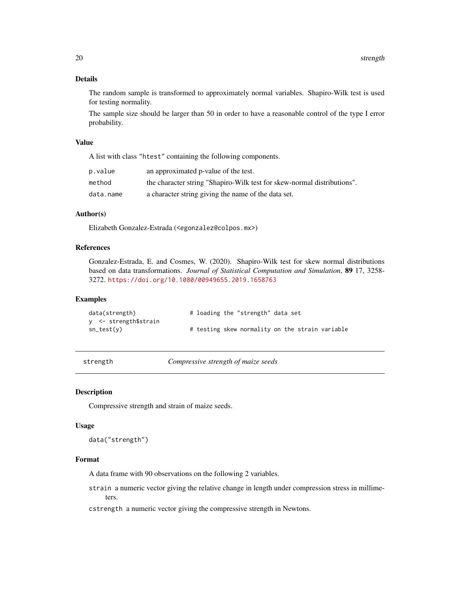# <span id="page-19-0"></span>Details

The random sample is transformed to approximately normal variables. Shapiro-Wilk test is used for testing normality.

The sample size should be larger than 50 in order to have a reasonable control of the type I error probability.

#### Value

A list with class "htest" containing the following components.

| p.value   | an approximated p-value of the test.                                    |
|-----------|-------------------------------------------------------------------------|
| method    | the character string "Shapiro-Wilk test for skew-normal distributions". |
| data.name | a character string giving the name of the data set.                     |

# Author(s)

Elizabeth Gonzalez-Estrada (<egonzalez@colpos.mx>)

#### References

Gonzalez-Estrada, E. and Cosmes, W. (2020). Shapiro-Wilk test for skew normal distributions based on data transformations. *Journal of Statistical Computation and Simulation*, 89 17, 3258- 3272. <https://doi.org/10.1080/00949655.2019.1658763>

#### Examples

| data(strength)        |  |  | # loading the "strength" data set               |  |  |
|-----------------------|--|--|-------------------------------------------------|--|--|
| y <- strength\$strain |  |  |                                                 |  |  |
| sn_test(y)            |  |  | # testing skew normality on the strain variable |  |  |

strength *Compressive strength of maize seeds*

# Description

Compressive strength and strain of maize seeds.

#### Usage

data("strength")

# Format

A data frame with 90 observations on the following 2 variables.

strain a numeric vector giving the relative change in length under compression stress in millimeters.

cstrength a numeric vector giving the compressive strength in Newtons.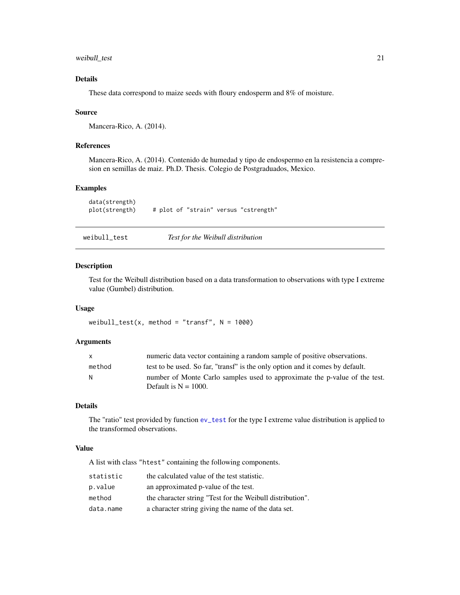<span id="page-20-0"></span>weibull\_test 21

# Details

These data correspond to maize seeds with floury endosperm and 8% of moisture.

# Source

Mancera-Rico, A. (2014).

# References

Mancera-Rico, A. (2014). Contenido de humedad y tipo de endospermo en la resistencia a compresion en semillas de maiz. Ph.D. Thesis. Colegio de Postgraduados, Mexico.

#### Examples

data(strength) plot(strength) # plot of "strain" versus "cstrength"

<span id="page-20-1"></span>

weibull\_test *Test for the Weibull distribution*

# Description

Test for the Weibull distribution based on a data transformation to observations with type I extreme value (Gumbel) distribution.

#### Usage

weibull\_test(x, method = "transf",  $N = 1000$ )

#### Arguments

| $\mathsf{x}$ | numeric data vector containing a random sample of positive observations.                              |
|--------------|-------------------------------------------------------------------------------------------------------|
| method       | test to be used. So far, "transf" is the only option and it comes by default.                         |
| N.           | number of Monte Carlo samples used to approximate the p-value of the test.<br>Default is $N = 1000$ . |

# Details

The "ratio" test provided by function [ev\\_test](#page-2-1) for the type I extreme value distribution is applied to the transformed observations.

# Value

A list with class "htest" containing the following components.

| statistic | the calculated value of the test statistic.               |
|-----------|-----------------------------------------------------------|
| p.value   | an approximated p-value of the test.                      |
| method    | the character string "Test for the Weibull distribution". |
| data.name | a character string giving the name of the data set.       |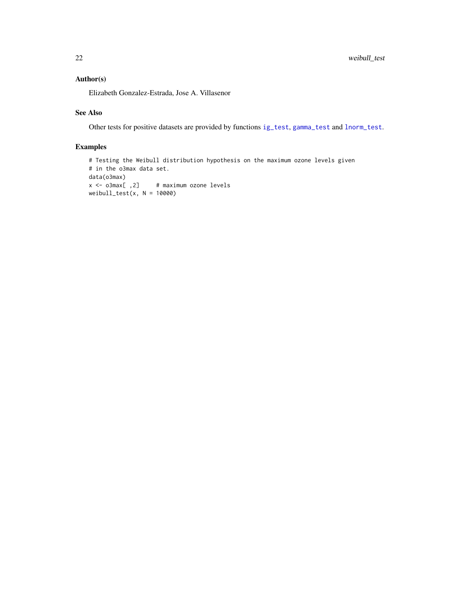# <span id="page-21-0"></span>Author(s)

Elizabeth Gonzalez-Estrada, Jose A. Villasenor

# See Also

Other tests for positive datasets are provided by functions [ig\\_test](#page-11-1), [gamma\\_test](#page-5-1) and [lnorm\\_test](#page-14-1).

# Examples

```
# Testing the Weibull distribution hypothesis on the maximum ozone levels given
# in the o3max data set.
data(o3max)
x <- o3max[ ,2] # maximum ozone levels
weibull_test(x, N = 10000)
```